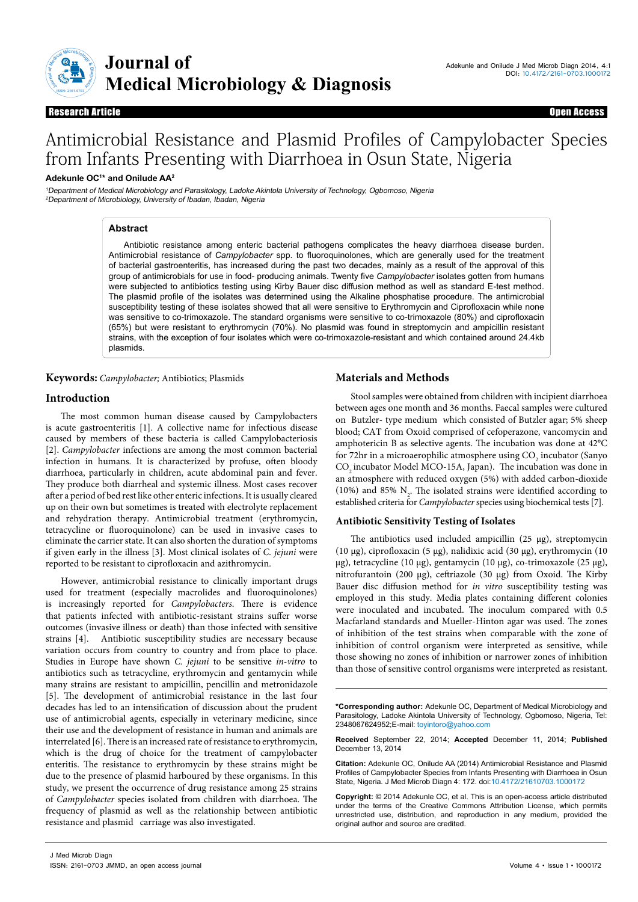

# Antimicrobial Resistance and Plasmid Profiles of Campylobacter Species from Infants Presenting with Diarrhoea in Osun State, Nigeria

# **Adekunle OC1 \* and Onilude AA2**

<sup>1</sup>Department of Medical Microbiology and Parasitology, Ladoke Akintola University of Technology, Ogbomoso, Nigeria <sup>2</sup>Department of Microbiology, University of Ibadan, Ibadan, Nigeria

## **Abstract**

Antibiotic resistance among enteric bacterial pathogens complicates the heavy diarrhoea disease burden. Antimicrobial resistance of *Campylobacter* spp. to fluoroquinolones, which are generally used for the treatment of bacterial gastroenteritis, has increased during the past two decades, mainly as a result of the approval of this group of antimicrobials for use in food- producing animals. Twenty five *Campylobacter* isolates gotten from humans were subjected to antibiotics testing using Kirby Bauer disc diffusion method as well as standard E-test method. The plasmid profile of the isolates was determined using the Alkaline phosphatise procedure. The antimicrobial susceptibility testing of these isolates showed that all were sensitive to Erythromycin and Ciprofloxacin while none was sensitive to co-trimoxazole. The standard organisms were sensitive to co-trimoxazole (80%) and ciprofloxacin (65%) but were resistant to erythromycin (70%). No plasmid was found in streptomycin and ampicillin resistant strains, with the exception of four isolates which were co-trimoxazole-resistant and which contained around 24.4kb plasmids.

**Keywords:** *Campylobacter;* Antibiotics; Plasmids

# **Materials and Methods**

# **Introduction**

The most common human disease caused by Campylobacters is acute gastroenteritis [1]. A collective name for infectious disease caused by members of these bacteria is called Campylobacteriosis [2]. *Campylobacter* infections are among the most common bacterial infection in humans. It is characterized by profuse, often bloody diarrhoea, particularly in children, acute abdominal pain and fever. They produce both diarrheal and systemic illness. Most cases recover after a period of bed rest like other enteric infections. It is usually cleared up on their own but sometimes is treated with electrolyte replacement and rehydration therapy. Antimicrobial treatment (erythromycin, tetracycline or fluoroquinolone) can be used in invasive cases to eliminate the carrier state. It can also shorten the duration of symptoms if given early in the illness [3]. Most clinical isolates of *C. jejuni* were reported to be resistant to ciprofloxacin and azithromycin.

However, antimicrobial resistance to clinically important drugs used for treatment (especially macrolides and fluoroquinolones) is increasingly reported for *Campylobacters*. There is evidence that patients infected with antibiotic-resistant strains suffer worse outcomes (invasive illness or death) than those infected with sensitive strains [4]. Antibiotic susceptibility studies are necessary because variation occurs from country to country and from place to place. Studies in Europe have shown *C. jejuni* to be sensitive *in*-*vitro* to antibiotics such as tetracycline, erythromycin and gentamycin while many strains are resistant to ampicillin, pencillin and metronidazole [5]. The development of antimicrobial resistance in the last four decades has led to an intensification of discussion about the prudent use of antimicrobial agents, especially in veterinary medicine, since their use and the development of resistance in human and animals are interrelated [6]. There is an increased rate of resistance to erythromycin, which is the drug of choice for the treatment of campylobacter enteritis. The resistance to erythromycin by these strains might be due to the presence of plasmid harboured by these organisms. In this study, we present the occurrence of drug resistance among 25 strains of *Campylobacter* species isolated from children with diarrhoea. The frequency of plasmid as well as the relationship between antibiotic resistance and plasmid carriage was also investigated.

Stool samples were obtained from children with incipient diarrhoea between ages one month and 36 months. Faecal samples were cultured on Butzler- type medium which consisted of Butzler agar; 5% sheep blood; CAT from Oxoid comprised of cefoperazone, vancomycin and amphotericin B as selective agents. The incubation was done at 42°C for 72hr in a microaerophilic atmosphere using  $\mathrm{CO}_2$  incubator (Sanyo CO<sub>2</sub> incubator Model MCO-15A, Japan). The incubation was done in an atmosphere with reduced oxygen (5%) with added carbon-dioxide (10%) and 85%  $N_2$ . The isolated strains were identified according to established criteria for *Campylobacter* species using biochemical tests [7].

## **Antibiotic Sensitivity Testing of Isolates**

The antibiotics used included ampicillin  $(25 \mu g)$ , streptomycin (10 µg), ciprofloxacin (5 µg), nalidixic acid (30 µg), erythromycin (10 µg), tetracycline (10 µg), gentamycin (10 µg), co-trimoxazole (25 µg), nitrofurantoin (200 µg), ceftriazole (30 µg) from Oxoid. The Kirby Bauer disc diffusion method for *in vitro* susceptibility testing was employed in this study. Media plates containing different colonies were inoculated and incubated. The inoculum compared with 0.5 Macfarland standards and Mueller-Hinton agar was used. The zones of inhibition of the test strains when comparable with the zone of inhibition of control organism were interpreted as sensitive, while those showing no zones of inhibition or narrower zones of inhibition than those of sensitive control organisms were interpreted as resistant.

**\*Corresponding author:** Adekunle OC, Department of Medical Microbiology and Parasitology, Ladoke Akintola University of Technology, Ogbomoso, Nigeria, Tel: 2348067624952;E-mail: toyintoro@yahoo.com

**Received** September 22, 2014; **Accepted** December 11, 2014; **Published** December 13, 2014

**Citation:** Adekunle OC, Onilude AA (2014) Antimicrobial Resistance and Plasmid Profiles of Campylobacter Species from Infants Presenting with Diarrhoea in Osun State, Nigeria*.* J Med Microb Diagn 4: 172. doi:10.4172/21610703.1000172

**Copyright:** © 2014 Adekunle OC, et al. This is an open-access article distributed under the terms of the Creative Commons Attribution License, which permits unrestricted use, distribution, and reproduction in any medium, provided the original author and source are credited.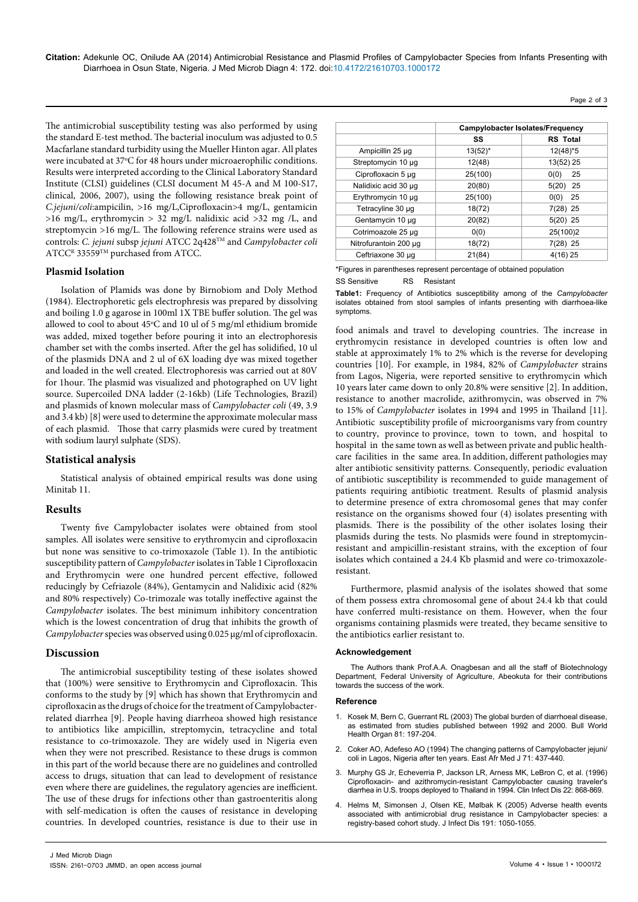**Citation:** Adekunle OC, Onilude AA (2014) Antimicrobial Resistance and Plasmid Profiles of Campylobacter Species from Infants Presenting with Diarrhoea in Osun State, Nigeria. J Med Microb Diagn 4: 172. doi:10.4172/21610703.1000172

The antimicrobial susceptibility testing was also performed by using the standard E-test method. The bacterial inoculum was adjusted to 0.5 Macfarlane standard turbidity using the Mueller Hinton agar. All plates were incubated at 37°C for 48 hours under microaerophilic conditions. Results were interpreted according to the Clinical Laboratory Standard Institute (CLSI) guidelines (CLSI document M 45-A and M 100-S17, clinical, 2006, 2007), using the following resistance break point of *C.jejuni/coli*:ampicilin, >16 mg/L,Ciprofloxacin>4 mg/L, gentamicin >16 mg/L, erythromycin > 32 mg/L nalidixic acid >32 mg /L, and streptomycin >16 mg/L. The following reference strains were used as controls: *C. jejuni* subsp *jejuni* ATCC 2q428TM and *Campylobacter coli* ATCC<sup>R</sup> 33559<sup>TM</sup> purchased from ATCC.

#### **Plasmid Isolation**

Isolation of Plamids was done by Birnobiom and Doly Method (1984). Electrophoretic gels electrophresis was prepared by dissolving and boiling 1.0 g agarose in 100ml 1X TBE buffer solution. The gel was allowed to cool to about  $45^{\circ}$ C and 10 ul of 5 mg/ml ethidium bromide was added, mixed together before pouring it into an electrophoresis chamber set with the combs inserted. After the gel has solidified, 10 ul of the plasmids DNA and 2 ul of 6X loading dye was mixed together and loaded in the well created. Electrophoresis was carried out at 80V for 1hour. The plasmid was visualized and photographed on UV light source. Supercoiled DNA ladder (2-16kb) (Life Technologies, Brazil) and plasmids of known molecular mass of *Campylobacter coli* (49, 3.9 and 3.4 kb) [8] were used to determine the approximate molecular mass of each plasmid.Those that carry plasmids were cured by treatment with sodium lauryl sulphate (SDS).

#### **Statistical analysis**

Statistical analysis of obtained empirical results was done using Minitab 11.

#### **Results**

Twenty five Campylobacter isolates were obtained from stool samples. All isolates were sensitive to erythromycin and ciprofloxacin but none was sensitive to co-trimoxazole (Table 1). In the antibiotic susceptibility pattern of *Campylobacter* isolates in Table 1 Ciprofloxacin and Erythromycin were one hundred percent effective, followed reducingly by Cefriazole (84%), Gentamycin and Nalidixic acid (82% and 80% respectively) Co-trimozale was totally ineffective against the *Campylobacter* isolates. The best minimum inhibitory concentration which is the lowest concentration of drug that inhibits the growth of *Campylobacter* species was observed using 0.025 µg/ml of ciprofloxacin.

#### **Discussion**

The antimicrobial susceptibility testing of these isolates showed that (100%) were sensitive to Erythromycin and Ciprofloxacin. This conforms to the study by [9] which has shown that Erythromycin and ciprofloxacin as the drugs of choice for the treatment of Campylobacterrelated diarrhea [9]. People having diarrheoa showed high resistance to antibiotics like ampicillin, streptomycin, tetracycline and total resistance to co-trimoxazole. They are widely used in Nigeria even when they were not prescribed. Resistance to these drugs is common in this part of the world because there are no guidelines and controlled access to drugs, situation that can lead to development of resistance even where there are guidelines, the regulatory agencies are inefficient. The use of these drugs for infections other than gastroenteritis along with self-medication is often the causes of resistance in developing countries. In developed countries, resistance is due to their use in

|                       | Campylobacter Isolates/Frequency |                 |
|-----------------------|----------------------------------|-----------------|
|                       | SS                               | <b>RS</b> Total |
| Ampicillin 25 µg      | $13(52)^{*}$                     | $12(48)*5$      |
| Streptomycin 10 µg    | 12(48)                           | 13(52) 25       |
| Ciprofloxacin 5 µg    | 25(100)                          | 0(0)<br>25      |
| Nalidixic acid 30 µg  | 20(80)                           | 5(20)<br>25     |
| Erythromycin 10 µg    | 25(100)                          | 25<br>0(0)      |
| Tetracyline 30 µg     | 18(72)                           | 7(28) 25        |
| Gentamycin 10 µg      | 20(82)                           | $5(20)$ 25      |
| Cotrimoazole 25 µg    | 0(0)                             | 25(100)2        |
| Nitrofurantoin 200 µg | 18(72)                           | 7(28) 25        |
| Ceftriaxone 30 µg     | 21(84)                           | $4(16)$ 25      |

Page 2 of 3

\*Figures in parentheses represent percentage of obtained population

SS Sensitive RS Resistant

**Table1:** Frequency of Antibiotics susceptibility among of the *Campylobacter*  isolates obtained from stool samples of infants presenting with diarrhoea-like symptoms.

food animals and travel to developing countries. The increase in erythromycin resistance in developed countries is often low and stable at approximately 1% to 2% which is the reverse for developing countries [10]. For example, in 1984, 82% of *Campylobacter* strains from Lagos, Nigeria, were reported sensitive to erythromycin which 10 years later came down to only 20.8% were sensitive [2]. In addition, resistance to another macrolide, azithromycin, was observed in 7% to 15% of *Campylobacter* isolates in 1994 and 1995 in Thailand [11]. Antibiotic susceptibility profile of microorganisms vary from country to country, province to province, town to town, and hospital to hospital in the same town as well as between private and public healthcare facilities in the same area. In addition, different pathologies may alter antibiotic sensitivity patterns. Consequently, periodic evaluation of antibiotic susceptibility is recommended to guide management of patients requiring antibiotic treatment. Results of plasmid analysis to determine presence of extra chromosomal genes that may confer resistance on the organisms showed four (4) isolates presenting with plasmids. There is the possibility of the other isolates losing their plasmids during the tests. No plasmids were found in streptomycinresistant and ampicillin-resistant strains, with the exception of four isolates which contained a 24.4 Kb plasmid and were co-trimoxazoleresistant.

Furthermore, plasmid analysis of the isolates showed that some of them possess extra chromosomal gene of about 24.4 kb that could have conferred multi-resistance on them. However, when the four organisms containing plasmids were treated, they became sensitive to the antibiotics earlier resistant to.

#### **Acknowledgement**

The Authors thank Prof.A.A. Onagbesan and all the staff of Biotechnology Department, Federal University of Agriculture, Abeokuta for their contributions towards the success of the work.

#### **Reference**

- 1. [Kosek M, Bern C, Guerrant RL \(2003\) The global burden of diarrhoeal disease,](http://www.ncbi.nlm.nih.gov/pubmed/12764516)  [as estimated from studies published between 1992 and 2000. Bull World](http://www.ncbi.nlm.nih.gov/pubmed/12764516)  [Health Organ 81: 197-204.](http://www.ncbi.nlm.nih.gov/pubmed/12764516)
- 2. [Coker AO, Adefeso AO \(1994\) The changing patterns of Campylobacter jejuni/](http://www.ncbi.nlm.nih.gov/pubmed/7828496) [coli in Lagos, Nigeria after ten years. East Afr Med J 71: 437-440.](http://www.ncbi.nlm.nih.gov/pubmed/7828496)
- 3. [Murphy GS Jr, Echeverria P, Jackson LR, Arness MK, LeBron C, et al. \(1996\)](http://www.ncbi.nlm.nih.gov/pubmed/8722958)  [Ciprofloxacin- and azithromycin-resistant Campylobacter causing traveler's](http://www.ncbi.nlm.nih.gov/pubmed/8722958)  [diarrhea in U.S. troops deployed to Thailand in 1994. Clin Infect Dis 22: 868-869.](http://www.ncbi.nlm.nih.gov/pubmed/8722958)
- 4. [Helms M, Simonsen J, Olsen KE, Mølbak K \(2005\) Adverse health events](http://www.ncbi.nlm.nih.gov/pubmed/15747238)  [associated with antimicrobial drug resistance in Campylobacter species: a](http://www.ncbi.nlm.nih.gov/pubmed/15747238)  [registry-based cohort study. J Infect Dis 191: 1050-1055.](http://www.ncbi.nlm.nih.gov/pubmed/15747238)